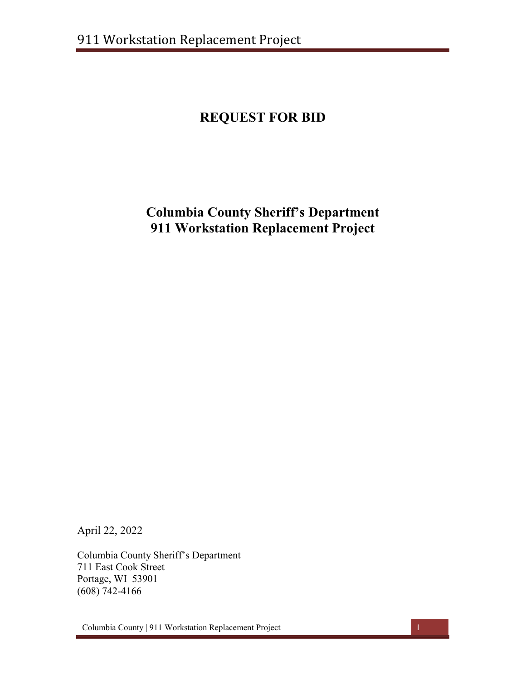# **REQUEST FOR BID**

## **Columbia County Sheriff's Department 911 Workstation Replacement Project**

April 22, 2022

Columbia County Sheriff's Department 711 East Cook Street Portage, WI 53901 (608) 742-4166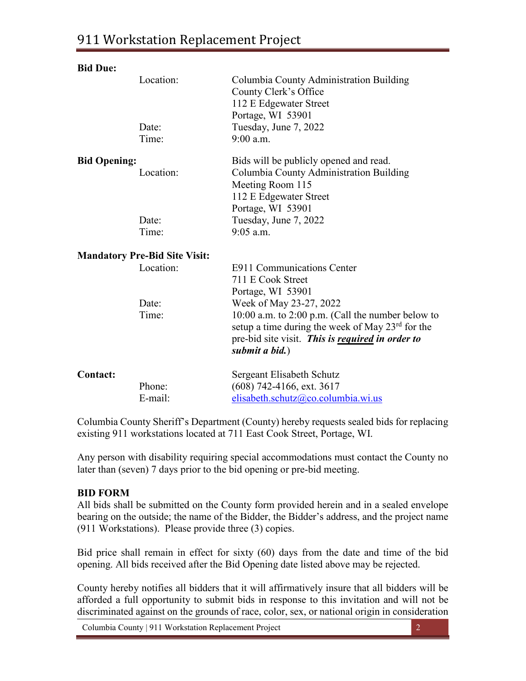| <b>Bid Due:</b>                      |           |                                                                                                                                                                       |  |
|--------------------------------------|-----------|-----------------------------------------------------------------------------------------------------------------------------------------------------------------------|--|
|                                      | Location: | Columbia County Administration Building                                                                                                                               |  |
|                                      |           | County Clerk's Office                                                                                                                                                 |  |
|                                      |           | 112 E Edgewater Street                                                                                                                                                |  |
|                                      |           | Portage, WI 53901                                                                                                                                                     |  |
|                                      | Date:     | Tuesday, June 7, 2022                                                                                                                                                 |  |
|                                      | Time:     | $9:00$ a.m.                                                                                                                                                           |  |
| <b>Bid Opening:</b>                  |           | Bids will be publicly opened and read.                                                                                                                                |  |
|                                      | Location: | Columbia County Administration Building                                                                                                                               |  |
|                                      |           | Meeting Room 115                                                                                                                                                      |  |
|                                      |           | 112 E Edgewater Street                                                                                                                                                |  |
|                                      |           | Portage, WI 53901                                                                                                                                                     |  |
|                                      | Date:     | Tuesday, June 7, 2022                                                                                                                                                 |  |
|                                      | Time:     | $9:05$ a.m.                                                                                                                                                           |  |
| <b>Mandatory Pre-Bid Site Visit:</b> |           |                                                                                                                                                                       |  |
|                                      | Location: | E911 Communications Center                                                                                                                                            |  |
|                                      |           | 711 E Cook Street                                                                                                                                                     |  |
|                                      |           | Portage, WI 53901                                                                                                                                                     |  |
|                                      | Date:     | Week of May 23-27, 2022                                                                                                                                               |  |
|                                      | Time:     | 10:00 a.m. to 2:00 p.m. (Call the number below to<br>setup a time during the week of May $23^{\text{rd}}$ for the<br>pre-bid site visit. This is required in order to |  |
|                                      |           | submit a bid.)                                                                                                                                                        |  |
| <b>Contact:</b>                      |           | Sergeant Elisabeth Schutz                                                                                                                                             |  |
|                                      | Phone:    | (608) 742-4166, ext. 3617                                                                                                                                             |  |
|                                      | E-mail:   | elisabeth.schutz@co.columbia.wi.us                                                                                                                                    |  |

Columbia County Sheriff's Department (County) hereby requests sealed bids for replacing existing 911 workstations located at 711 East Cook Street, Portage, WI.

Any person with disability requiring special accommodations must contact the County no later than (seven) 7 days prior to the bid opening or pre-bid meeting.

### **BID FORM**

All bids shall be submitted on the County form provided herein and in a sealed envelope bearing on the outside; the name of the Bidder, the Bidder's address, and the project name (911 Workstations). Please provide three (3) copies.

Bid price shall remain in effect for sixty (60) days from the date and time of the bid opening. All bids received after the Bid Opening date listed above may be rejected.

County hereby notifies all bidders that it will affirmatively insure that all bidders will be afforded a full opportunity to submit bids in response to this invitation and will not be discriminated against on the grounds of race, color, sex, or national origin in consideration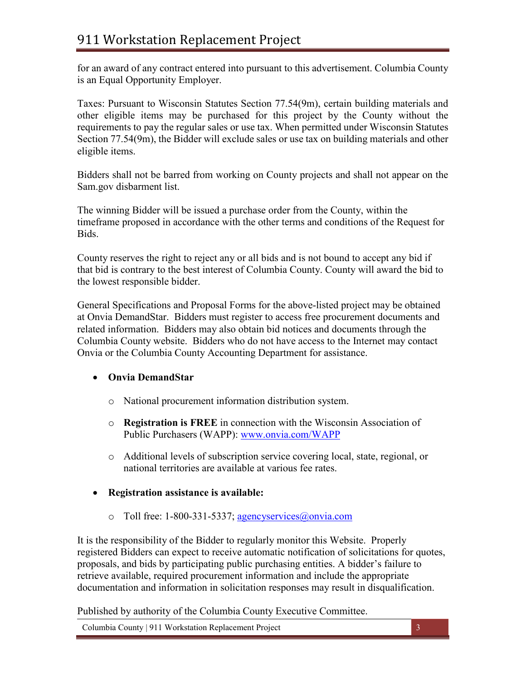for an award of any contract entered into pursuant to this advertisement. Columbia County is an Equal Opportunity Employer.

Taxes: Pursuant to Wisconsin Statutes Section 77.54(9m), certain building materials and other eligible items may be purchased for this project by the County without the requirements to pay the regular sales or use tax. When permitted under Wisconsin Statutes Section 77.54(9m), the Bidder will exclude sales or use tax on building materials and other eligible items.

Bidders shall not be barred from working on County projects and shall not appear on the Sam.gov disbarment list.

The winning Bidder will be issued a purchase order from the County, within the timeframe proposed in accordance with the other terms and conditions of the Request for Bids.

County reserves the right to reject any or all bids and is not bound to accept any bid if that bid is contrary to the best interest of Columbia County. County will award the bid to the lowest responsible bidder.

General Specifications and Proposal Forms for the above-listed project may be obtained at Onvia DemandStar. Bidders must register to access free procurement documents and related information. Bidders may also obtain bid notices and documents through the Columbia County website. Bidders who do not have access to the Internet may contact Onvia or the Columbia County Accounting Department for assistance.

## • **Onvia DemandStar**

- o National procurement information distribution system.
- o **Registration is FREE** in connection with the Wisconsin Association of Public Purchasers (WAPP): [www.onvia.com/WAPP](http://www.onvia.com/WAPP)
- o Additional levels of subscription service covering local, state, regional, or national territories are available at various fee rates.
- **Registration assistance is available:** 
	- o Toll free: 1-800-331-5337; [agencyservices@onvia.com](mailto:agencyservices@onvia.com)

It is the responsibility of the Bidder to regularly monitor this Website. Properly registered Bidders can expect to receive automatic notification of solicitations for quotes, proposals, and bids by participating public purchasing entities. A bidder's failure to retrieve available, required procurement information and include the appropriate documentation and information in solicitation responses may result in disqualification.

Published by authority of the Columbia County Executive Committee.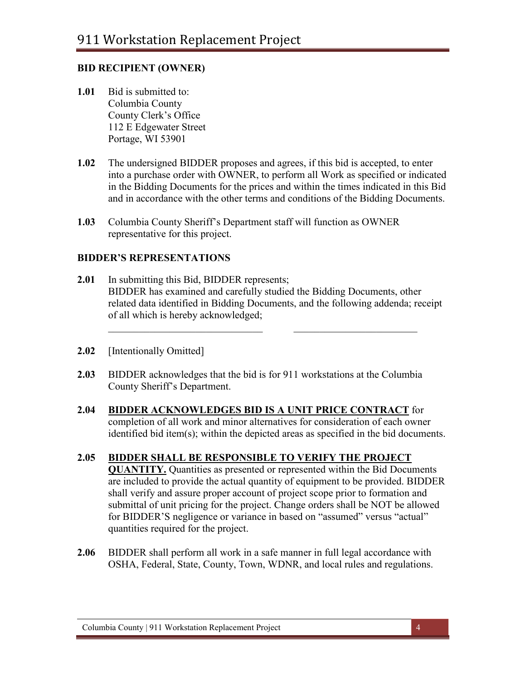### **BID RECIPIENT (OWNER)**

- **1.01** Bid is submitted to: Columbia County County Clerk's Office 112 E Edgewater Street Portage, WI 53901
- **1.02** The undersigned BIDDER proposes and agrees, if this bid is accepted, to enter into a purchase order with OWNER, to perform all Work as specified or indicated in the Bidding Documents for the prices and within the times indicated in this Bid and in accordance with the other terms and conditions of the Bidding Documents.
- **1.03** Columbia County Sheriff's Department staff will function as OWNER representative for this project.

### **BIDDER'S REPRESENTATIONS**

**2.01** In submitting this Bid, BIDDER represents; BIDDER has examined and carefully studied the Bidding Documents, other related data identified in Bidding Documents, and the following addenda; receipt of all which is hereby acknowledged;

 $\mathcal{L}_\text{max}$  , and the contract of the contract of the contract of the contract of the contract of the contract of

- **2.02** [Intentionally Omitted]
- **2.03** BIDDER acknowledges that the bid is for 911 workstations at the Columbia County Sheriff's Department.
- **2.04 BIDDER ACKNOWLEDGES BID IS A UNIT PRICE CONTRACT** for completion of all work and minor alternatives for consideration of each owner identified bid item(s); within the depicted areas as specified in the bid documents.

## **2.05 BIDDER SHALL BE RESPONSIBLE TO VERIFY THE PROJECT**

**QUANTITY.** Quantities as presented or represented within the Bid Documents are included to provide the actual quantity of equipment to be provided. BIDDER shall verify and assure proper account of project scope prior to formation and submittal of unit pricing for the project. Change orders shall be NOT be allowed for BIDDER'S negligence or variance in based on "assumed" versus "actual" quantities required for the project.

**2.06** BIDDER shall perform all work in a safe manner in full legal accordance with OSHA, Federal, State, County, Town, WDNR, and local rules and regulations.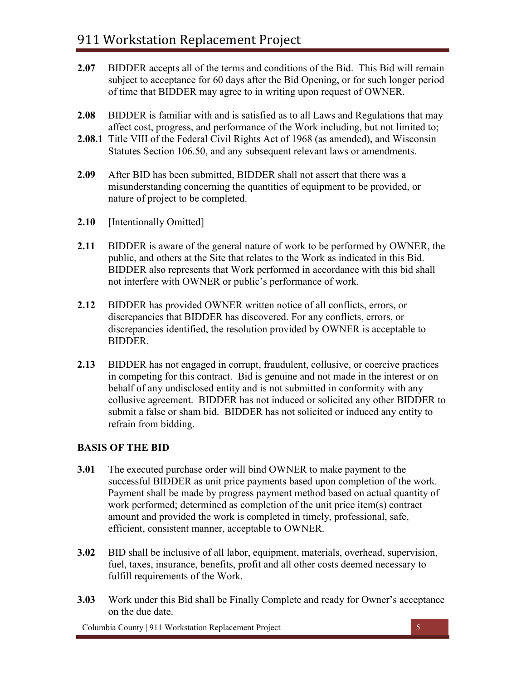- **2.07** BIDDER accepts all of the terms and conditions of the Bid. This Bid will remain subject to acceptance for 60 days after the Bid Opening, or for such longer period of time that BIDDER may agree to in writing upon request of OWNER.
- **2.08** BIDDER is familiar with and is satisfied as to all Laws and Regulations that may affect cost, progress, and performance of the Work including, but not limited to;
- **2.08.1** Title VIII of the Federal Civil Rights Act of 1968 (as amended), and Wisconsin Statutes Section 106.50, and any subsequent relevant laws or amendments.
- **2.09** After BID has been submitted, BIDDER shall not assert that there was a misunderstanding concerning the quantities of equipment to be provided, or nature of project to be completed.
- **2.10** [Intentionally Omitted]
- **2.11** BIDDER is aware of the general nature of work to be performed by OWNER, the public, and others at the Site that relates to the Work as indicated in this Bid. BIDDER also represents that Work performed in accordance with this bid shall not interfere with OWNER or public's performance of work.
- **2.12** BIDDER has provided OWNER written notice of all conflicts, errors, or discrepancies that BIDDER has discovered. For any conflicts, errors, or discrepancies identified, the resolution provided by OWNER is acceptable to BIDDER.
- **2.13** BIDDER has not engaged in corrupt, fraudulent, collusive, or coercive practices in competing for this contract. Bid is genuine and not made in the interest or on behalf of any undisclosed entity and is not submitted in conformity with any collusive agreement. BIDDER has not induced or solicited any other BIDDER to submit a false or sham bid. BIDDER has not solicited or induced any entity to refrain from bidding.

## **BASIS OF THE BID**

- **3.01** The executed purchase order will bind OWNER to make payment to the successful BIDDER as unit price payments based upon completion of the work. Payment shall be made by progress payment method based on actual quantity of work performed; determined as completion of the unit price item(s) contract amount and provided the work is completed in timely, professional, safe, efficient, consistent manner, acceptable to OWNER.
- **3.02** BID shall be inclusive of all labor, equipment, materials, overhead, supervision, fuel, taxes, insurance, benefits, profit and all other costs deemed necessary to fulfill requirements of the Work.
- **3.03** Work under this Bid shall be Finally Complete and ready for Owner's acceptance on the due date.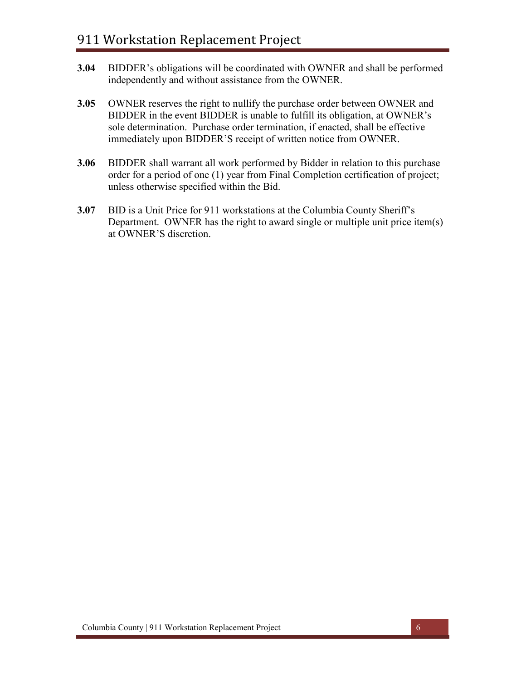- **3.04** BIDDER's obligations will be coordinated with OWNER and shall be performed independently and without assistance from the OWNER.
- **3.05** OWNER reserves the right to nullify the purchase order between OWNER and BIDDER in the event BIDDER is unable to fulfill its obligation, at OWNER's sole determination. Purchase order termination, if enacted, shall be effective immediately upon BIDDER'S receipt of written notice from OWNER.
- **3.06** BIDDER shall warrant all work performed by Bidder in relation to this purchase order for a period of one (1) year from Final Completion certification of project; unless otherwise specified within the Bid.
- **3.07** BID is a Unit Price for 911 workstations at the Columbia County Sheriff's Department. OWNER has the right to award single or multiple unit price item(s) at OWNER'S discretion.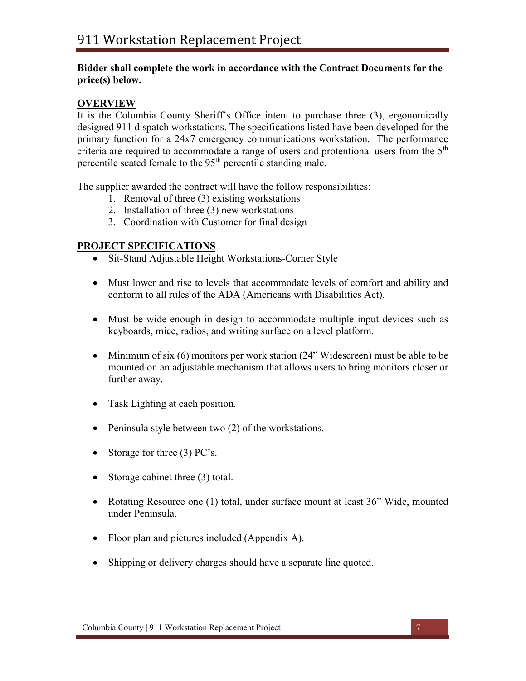### **Bidder shall complete the work in accordance with the Contract Documents for the price(s) below.**

### **OVERVIEW**

It is the Columbia County Sheriff's Office intent to purchase three (3), ergonomically designed 911 dispatch workstations. The specifications listed have been developed for the primary function for a 24x7 emergency communications workstation. The performance criteria are required to accommodate a range of users and protentional users from the  $5<sup>th</sup>$ percentile seated female to the 95<sup>th</sup> percentile standing male.

The supplier awarded the contract will have the follow responsibilities:

- 1. Removal of three (3) existing workstations
- 2. Installation of three (3) new workstations
- 3. Coordination with Customer for final design

### **PROJECT SPECIFICATIONS**

- Sit-Stand Adjustable Height Workstations-Corner Style
- Must lower and rise to levels that accommodate levels of comfort and ability and conform to all rules of the ADA (Americans with Disabilities Act).
- Must be wide enough in design to accommodate multiple input devices such as keyboards, mice, radios, and writing surface on a level platform.
- Minimum of six (6) monitors per work station (24" Widescreen) must be able to be mounted on an adjustable mechanism that allows users to bring monitors closer or further away.
- Task Lighting at each position.
- Peninsula style between two (2) of the workstations.
- Storage for three (3) PC's.
- Storage cabinet three (3) total.
- Rotating Resource one (1) total, under surface mount at least 36" Wide, mounted under Peninsula.
- Floor plan and pictures included (Appendix A).
- Shipping or delivery charges should have a separate line quoted.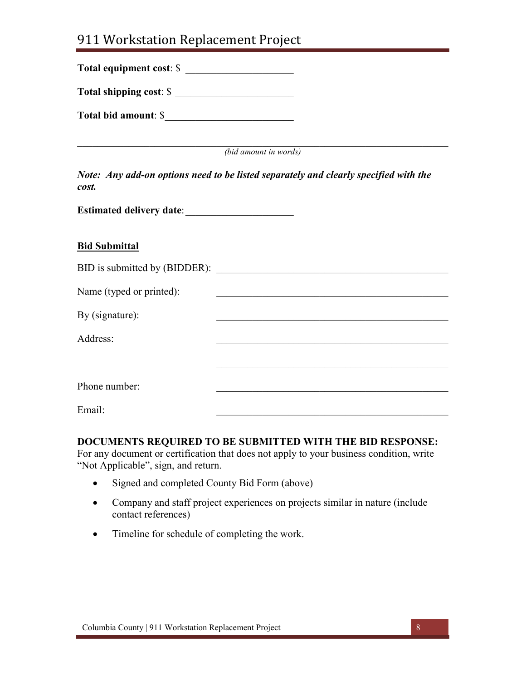## 911 Workstation Replacement Project

| Total equipment cost: \$ |                                                                                      |
|--------------------------|--------------------------------------------------------------------------------------|
| Total shipping cost: \$  |                                                                                      |
| Total bid amount: \$     |                                                                                      |
|                          | (bid amount in words)                                                                |
| cost.                    | Note: Any add-on options need to be listed separately and clearly specified with the |
|                          |                                                                                      |
| <b>Bid Submittal</b>     |                                                                                      |
|                          | BID is submitted by (BIDDER):                                                        |
| Name (typed or printed): | <u> 1989 - Johann Stoff, amerikansk politiker (d. 1989)</u>                          |
| By (signature):          | <u> 1989 - Johann Stoff, amerikansk politiker (d. 1989)</u>                          |
| Address:                 |                                                                                      |
|                          |                                                                                      |
|                          |                                                                                      |

Email: \_\_\_\_\_\_\_\_\_\_\_\_\_\_\_\_\_\_\_\_\_\_\_\_\_\_\_\_\_\_\_\_\_\_\_\_\_\_\_\_\_\_\_\_\_

Phone number:

### **DOCUMENTS REQUIRED TO BE SUBMITTED WITH THE BID RESPONSE:**

For any document or certification that does not apply to your business condition, write "Not Applicable", sign, and return.

- Signed and completed County Bid Form (above)
- Company and staff project experiences on projects similar in nature (include contact references)
- Timeline for schedule of completing the work.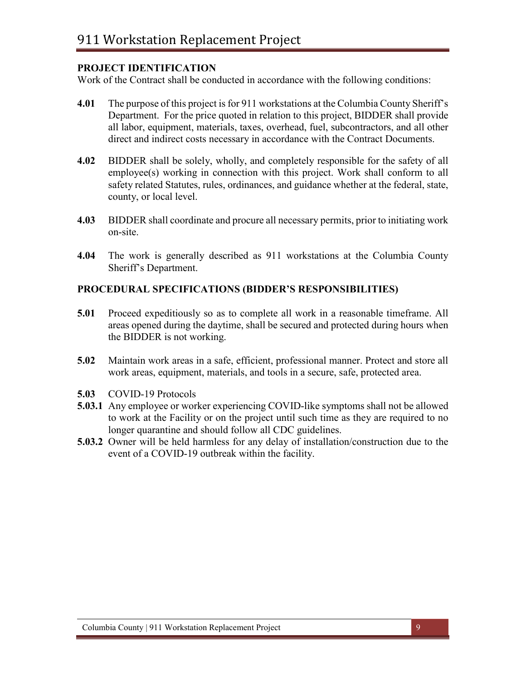### **PROJECT IDENTIFICATION**

Work of the Contract shall be conducted in accordance with the following conditions:

- **4.01** The purpose of this project is for 911 workstations at the Columbia County Sheriff's Department. For the price quoted in relation to this project, BIDDER shall provide all labor, equipment, materials, taxes, overhead, fuel, subcontractors, and all other direct and indirect costs necessary in accordance with the Contract Documents.
- **4.02** BIDDER shall be solely, wholly, and completely responsible for the safety of all employee(s) working in connection with this project. Work shall conform to all safety related Statutes, rules, ordinances, and guidance whether at the federal, state, county, or local level.
- **4.03** BIDDER shall coordinate and procure all necessary permits, prior to initiating work on-site.
- **4.04** The work is generally described as 911 workstations at the Columbia County Sheriff's Department.

### **PROCEDURAL SPECIFICATIONS (BIDDER'S RESPONSIBILITIES)**

- **5.01** Proceed expeditiously so as to complete all work in a reasonable timeframe. All areas opened during the daytime, shall be secured and protected during hours when the BIDDER is not working.
- **5.02** Maintain work areas in a safe, efficient, professional manner. Protect and store all work areas, equipment, materials, and tools in a secure, safe, protected area.
- **5.03** COVID-19 Protocols
- **5.03.1** Any employee or worker experiencing COVID-like symptoms shall not be allowed to work at the Facility or on the project until such time as they are required to no longer quarantine and should follow all CDC guidelines.
- **5.03.2** Owner will be held harmless for any delay of installation/construction due to the event of a COVID-19 outbreak within the facility.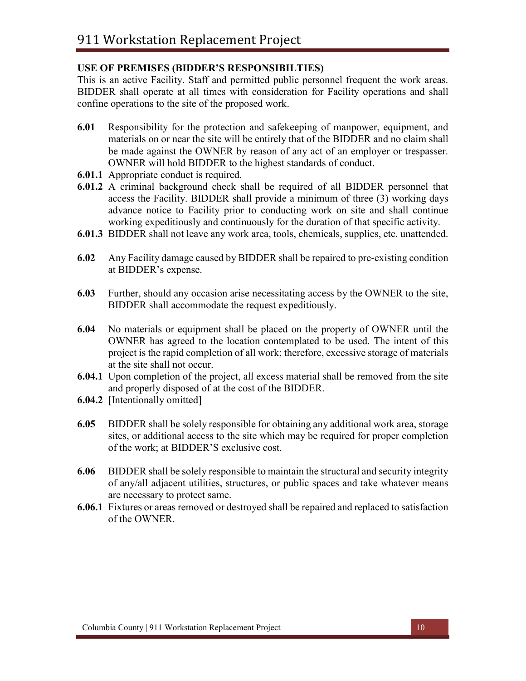### **USE OF PREMISES (BIDDER'S RESPONSIBILTIES)**

This is an active Facility. Staff and permitted public personnel frequent the work areas. BIDDER shall operate at all times with consideration for Facility operations and shall confine operations to the site of the proposed work.

- **6.01** Responsibility for the protection and safekeeping of manpower, equipment, and materials on or near the site will be entirely that of the BIDDER and no claim shall be made against the OWNER by reason of any act of an employer or trespasser. OWNER will hold BIDDER to the highest standards of conduct.
- **6.01.1** Appropriate conduct is required.
- **6.01.2** A criminal background check shall be required of all BIDDER personnel that access the Facility. BIDDER shall provide a minimum of three (3) working days advance notice to Facility prior to conducting work on site and shall continue working expeditiously and continuously for the duration of that specific activity.
- **6.01.3** BIDDER shall not leave any work area, tools, chemicals, supplies, etc. unattended.
- **6.02** Any Facility damage caused by BIDDER shall be repaired to pre-existing condition at BIDDER's expense.
- **6.03** Further, should any occasion arise necessitating access by the OWNER to the site, BIDDER shall accommodate the request expeditiously.
- **6.04** No materials or equipment shall be placed on the property of OWNER until the OWNER has agreed to the location contemplated to be used. The intent of this project is the rapid completion of all work; therefore, excessive storage of materials at the site shall not occur.
- **6.04.1** Upon completion of the project, all excess material shall be removed from the site and properly disposed of at the cost of the BIDDER.
- **6.04.2** [Intentionally omitted]
- **6.05** BIDDER shall be solely responsible for obtaining any additional work area, storage sites, or additional access to the site which may be required for proper completion of the work; at BIDDER'S exclusive cost.
- **6.06** BIDDER shall be solely responsible to maintain the structural and security integrity of any/all adjacent utilities, structures, or public spaces and take whatever means are necessary to protect same.
- **6.06.1** Fixtures or areas removed or destroyed shall be repaired and replaced to satisfaction of the OWNER.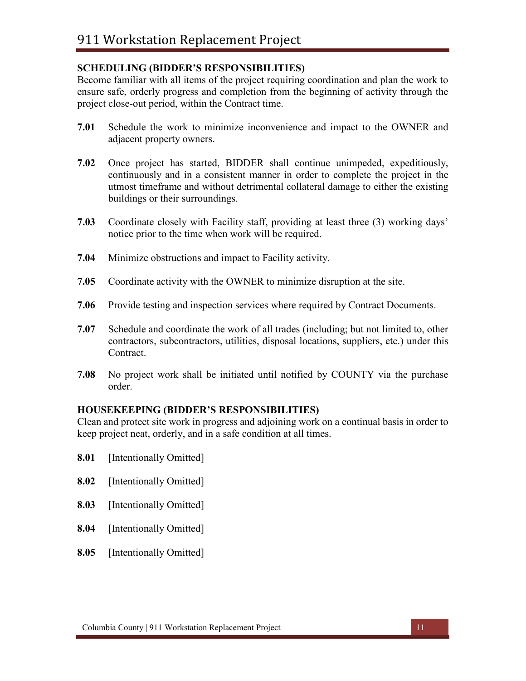## **SCHEDULING (BIDDER'S RESPONSIBILITIES)**

Become familiar with all items of the project requiring coordination and plan the work to ensure safe, orderly progress and completion from the beginning of activity through the project close-out period, within the Contract time.

- **7.01** Schedule the work to minimize inconvenience and impact to the OWNER and adjacent property owners.
- **7.02** Once project has started, BIDDER shall continue unimpeded, expeditiously, continuously and in a consistent manner in order to complete the project in the utmost timeframe and without detrimental collateral damage to either the existing buildings or their surroundings.
- **7.03** Coordinate closely with Facility staff, providing at least three (3) working days' notice prior to the time when work will be required.
- **7.04** Minimize obstructions and impact to Facility activity.
- **7.05** Coordinate activity with the OWNER to minimize disruption at the site.
- **7.06** Provide testing and inspection services where required by Contract Documents.
- **7.07** Schedule and coordinate the work of all trades (including; but not limited to, other contractors, subcontractors, utilities, disposal locations, suppliers, etc.) under this Contract.
- **7.08** No project work shall be initiated until notified by COUNTY via the purchase order.

### **HOUSEKEEPING (BIDDER'S RESPONSIBILITIES)**

Clean and protect site work in progress and adjoining work on a continual basis in order to keep project neat, orderly, and in a safe condition at all times.

- **8.01** [Intentionally Omitted]
- **8.02** [Intentionally Omitted]
- **8.03** [Intentionally Omitted]
- **8.04** [Intentionally Omitted]
- **8.05** [Intentionally Omitted]